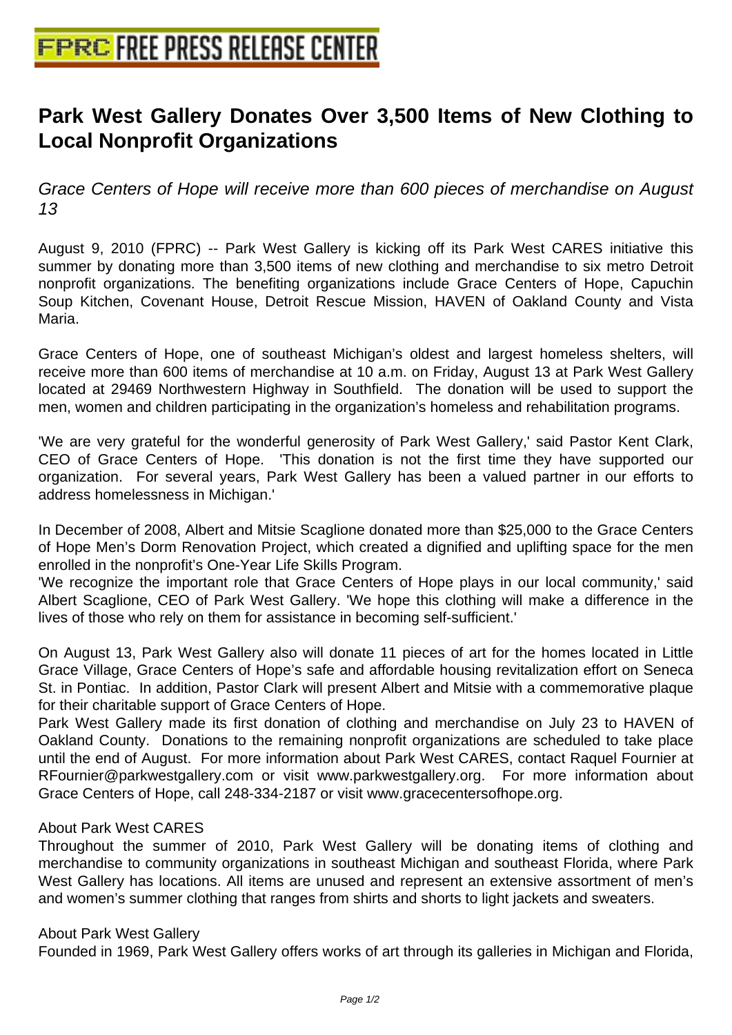# **[Park West Gallery Donates Over 3](http://www.free-press-release-center.info),500 Items of New Clothing to Local Nonprofit Organizations**

Grace Centers of Hope will receive more than 600 pieces of merchandise on August 13

August 9, 2010 (FPRC) -- Park West Gallery is kicking off its Park West CARES initiative this summer by donating more than 3,500 items of new clothing and merchandise to six metro Detroit nonprofit organizations. The benefiting organizations include Grace Centers of Hope, Capuchin Soup Kitchen, Covenant House, Detroit Rescue Mission, HAVEN of Oakland County and Vista Maria.

Grace Centers of Hope, one of southeast Michigan's oldest and largest homeless shelters, will receive more than 600 items of merchandise at 10 a.m. on Friday, August 13 at Park West Gallery located at 29469 Northwestern Highway in Southfield. The donation will be used to support the men, women and children participating in the organization's homeless and rehabilitation programs.

'We are very grateful for the wonderful generosity of Park West Gallery,' said Pastor Kent Clark, CEO of Grace Centers of Hope. 'This donation is not the first time they have supported our organization. For several years, Park West Gallery has been a valued partner in our efforts to address homelessness in Michigan.'

In December of 2008, Albert and Mitsie Scaglione donated more than \$25,000 to the Grace Centers of Hope Men's Dorm Renovation Project, which created a dignified and uplifting space for the men enrolled in the nonprofit's One-Year Life Skills Program.

'We recognize the important role that Grace Centers of Hope plays in our local community,' said Albert Scaglione, CEO of Park West Gallery. 'We hope this clothing will make a difference in the lives of those who rely on them for assistance in becoming self-sufficient.'

On August 13, Park West Gallery also will donate 11 pieces of art for the homes located in Little Grace Village, Grace Centers of Hope's safe and affordable housing revitalization effort on Seneca St. in Pontiac. In addition, Pastor Clark will present Albert and Mitsie with a commemorative plaque for their charitable support of Grace Centers of Hope.

Park West Gallery made its first donation of clothing and merchandise on July 23 to HAVEN of Oakland County. Donations to the remaining nonprofit organizations are scheduled to take place until the end of August. For more information about Park West CARES, contact Raquel Fournier at RFournier@parkwestgallery.com or visit www.parkwestgallery.org. For more information about Grace Centers of Hope, call 248-334-2187 or visit www.gracecentersofhope.org.

## About Park West CARES

Throughout the summer of 2010, Park West Gallery will be donating items of clothing and merchandise to community organizations in southeast Michigan and southeast Florida, where Park West Gallery has locations. All items are unused and represent an extensive assortment of men's and women's summer clothing that ranges from shirts and shorts to light jackets and sweaters.

## About Park West Gallery

Founded in 1969, Park West Gallery offers works of art through its galleries in Michigan and Florida,